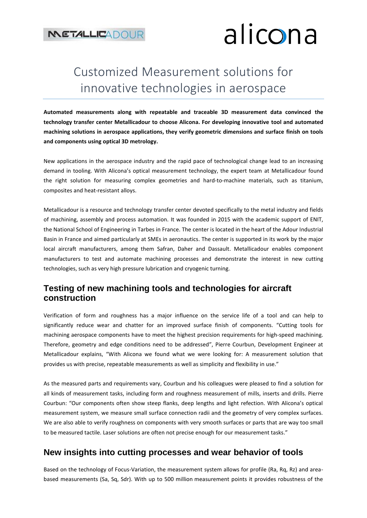# alicona

### Customized Measurement solutions for innovative technologies in aerospace

**Automated measurements along with repeatable and traceable 3D measurement data convinced the technology transfer center Metallicadour to choose Alicona. For developing innovative tool and automated machining solutions in aerospace applications, they verify geometric dimensions and surface finish on tools and components using optical 3D metrology.**

New applications in the aerospace industry and the rapid pace of technological change lead to an increasing demand in tooling. With Alicona's optical measurement technology, the expert team at Metallicadour found the right solution for measuring complex geometries and hard-to-machine materials, such as titanium, composites and heat-resistant alloys.

Metallicadour is a resource and technology transfer center devoted specifically to the metal industry and fields of machining, assembly and process automation. It was founded in 2015 with the academic support of ENIT, the National School of Engineering in Tarbes in France. The center is located in the heart of the Adour Industrial Basin in France and aimed particularly at SMEs in aeronautics. The center is supported in its work by the major local aircraft manufacturers, among them Safran, Daher and Dassault. Metallicadour enables component manufacturers to test and automate machining processes and demonstrate the interest in new cutting technologies, such as very high pressure lubrication and cryogenic turning.

#### **Testing of new machining tools and technologies for aircraft construction**

Verification of form and roughness has a major influence on the service life of a tool and can help to significantly reduce wear and chatter for an improved surface finish of components. "Cutting tools for machining aerospace components have to meet the highest precision requirements for high-speed machining. Therefore, geometry and edge conditions need to be addressed", Pierre Courbun, Development Engineer at Metallicadour explains, "With Alicona we found what we were looking for: A measurement solution that provides us with precise, repeatable measurements as well as simplicity and flexibility in use."

As the measured parts and requirements vary, Courbun and his colleagues were pleased to find a solution for all kinds of measurement tasks, including form and roughness measurement of mills, inserts and drills. Pierre Courbun: "Our components often show steep flanks, deep lengths and light refection. With Alicona's optical measurement system, we measure small surface connection radii and the geometry of very complex surfaces. We are also able to verify roughness on components with very smooth surfaces or parts that are way too small to be measured tactile. Laser solutions are often not precise enough for our measurement tasks."

#### **New insights into cutting processes and wear behavior of tools**

Based on the technology of Focus-Variation, the measurement system allows for profile (Ra, Rq, Rz) and areabased measurements (Sa, Sq, Sdr). With up to 500 million measurement points it provides robustness of the